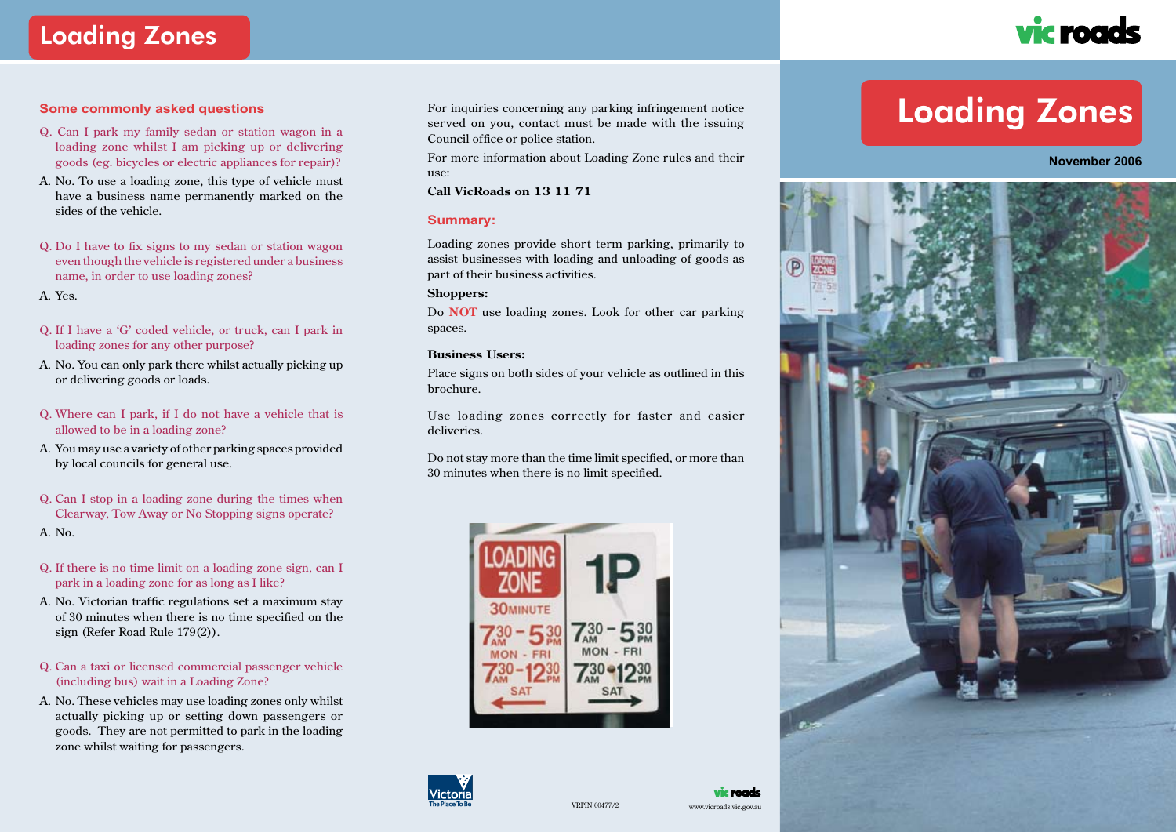# Loading Zones



### **Some commonly asked questions**

- Q. Can I park my family sedan or station wagon in a loading zone whilst I am picking up or delivering goods (eg. bicycles or electric appliances for repair)?
- A. No. To use a loading zone, this type of vehicle must have a business name permanently marked on the sides of the vehicle.
- Q. Do I have to fix signs to my sedan or station wagon even though the vehicle is registered under a business name, in order to use loading zones?

A. Yes.

- Q. If I have a 'G' coded vehicle, or truck, can I park in loading zones for any other purpose?
- A. No. You can only park there whilst actually picking up or delivering goods or loads.
- Q. Where can I park, if I do not have a vehicle that is allowed to be in a loading zone?
- A. You may use a variety of other parking spaces provided by local councils for general use.
- Q. Can I stop in a loading zone during the times when Clearway, Tow Away or No Stopping signs operate?

A. No.

- Q. If there is no time limit on a loading zone sign, can I park in a loading zone for as long as I like?
- A. No. Victorian traffic regulations set a maximum stay of 30 minutes when there is no time specified on the sign (Refer Road Rule 179(2)).
- Q. Can a taxi or licensed commercial passenger vehicle (including bus) wait in a Loading Zone?
- A. No. These vehicles may use loading zones only whilst actually picking up or setting down passengers or goods. They are not permitted to park in the loading zone whilst waiting for passengers.

For inquiries concerning any parking infringement notice served on you, contact must be made with the issuing Council office or police station.

For more information about Loading Zone rules and their use:

**Call VicRoads on 13 11 71**

### **Summary:**

Loading zones provide short term parking, primarily to assist businesses with loading and unloading of goods as part of their business activities.

### **Shoppers:**

Do **NOT** use loading zones. Look for other car parking spaces.

#### **Business Users:**

Place signs on both sides of your vehicle as outlined in this brochure.

Use loading zones correctly for faster and easier deliveries.

Do not stay more than the time limit specified, or more than 30 minutes when there is no limit specified.





### vic roads  $VRPIN 00477/2$  www.vicroads.vic.gov.au

# Loading Zones

**November 2006**